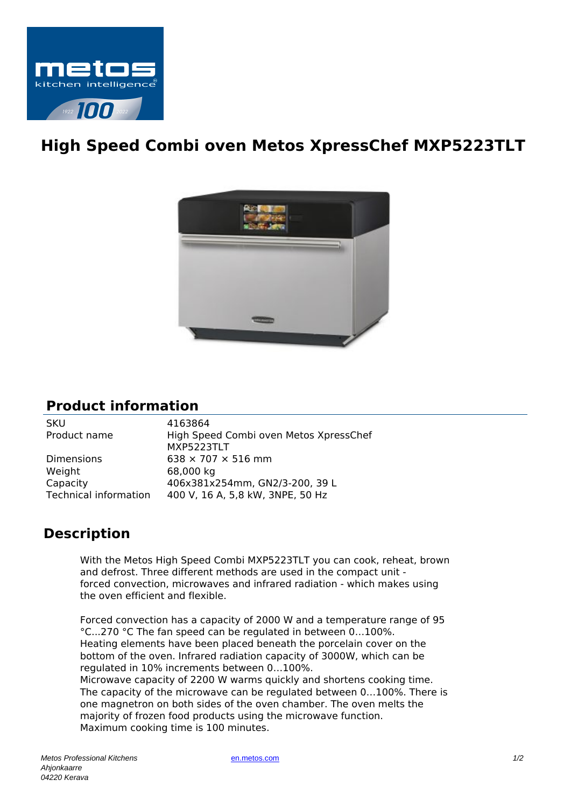

## **High Speed Combi oven Metos XpressChef MXP5223TLT**



## **Product information**

| <b>SKU</b>            | 4163864                                |
|-----------------------|----------------------------------------|
| Product name          | High Speed Combi oven Metos XpressChef |
|                       | MXP5223TLT                             |
| <b>Dimensions</b>     | $638 \times 707 \times 516$ mm         |
| Weight                | 68,000 kg                              |
| Capacity              | 406x381x254mm, GN2/3-200, 39 L         |
| Technical information | 400 V, 16 A, 5,8 kW, 3NPE, 50 Hz       |
|                       |                                        |

## **Description**

With the Metos High Speed Combi MXP5223TLT you can cook, reheat, brown and defrost. Three different methods are used in the compact unit forced convection, microwaves and infrared radiation - which makes using the oven efficient and flexible.

Forced convection has a capacity of 2000 W and a temperature range of 95 °C...270 °C The fan speed can be regulated in between 0…100%. Heating elements have been placed beneath the porcelain cover on the bottom of the oven. Infrared radiation capacity of 3000W, which can be regulated in 10% increments between 0…100%. Microwave capacity of 2200 W warms quickly and shortens cooking time.

The capacity of the microwave can be regulated between 0…100%. There is one magnetron on both sides of the oven chamber. The oven melts the majority of frozen food products using the microwave function. Maximum cooking time is 100 minutes.